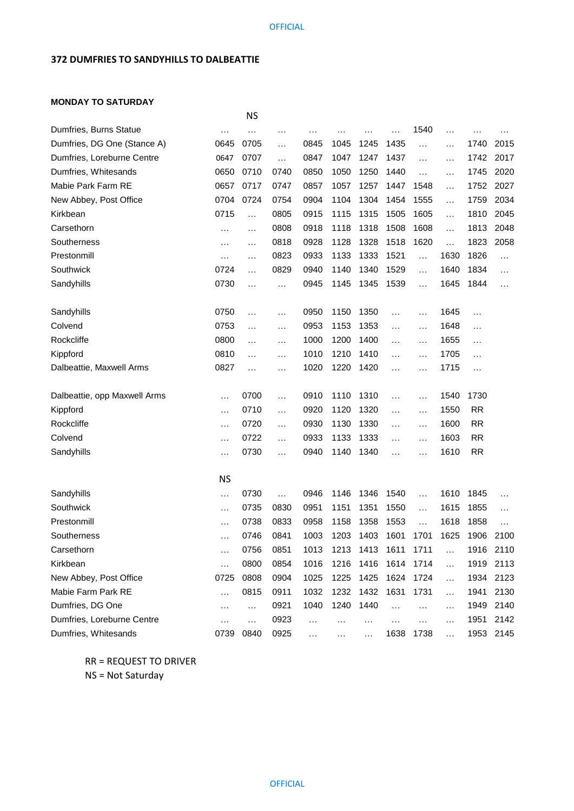## **372 DUMFRIES TO SANDYHILLS TO DALBEATTIE**

## **MONDAY TO SATURDAY**

|                              |           | <b>NS</b> |          |           |               |           |                      |           |           |           |           |
|------------------------------|-----------|-----------|----------|-----------|---------------|-----------|----------------------|-----------|-----------|-----------|-----------|
| Dumfries, Burns Statue       | $\cdots$  |           | .        | $\cdots$  | $\cdot$       | $\cdots$  | $\ddotsc$            | 1540      | $\ddotsc$ | $\cdots$  |           |
| Dumfries, DG One (Stance A)  | 0645      | 0705      | $\cdots$ | 0845      | 1045          | 1245      | 1435                 | $\ddotsc$ | $\cdots$  | 1740      | 2015      |
| Dumfries, Loreburne Centre   | 0647      | 0707      | $\cdots$ | 0847      | 1047          | 1247      | 1437                 | .         | $\ddotsc$ | 1742      | 2017      |
| Dumfries, Whitesands         | 0650      | 0710      | 0740     | 0850      | 1050          | 1250      | 1440                 | .         | .         | 1745      | 2020      |
| Mabie Park Farm RE           | 0657      | 0717      | 0747     | 0857      | 1057          | 1257      | 1447                 | 1548      | .         | 1752      | 2027      |
| New Abbey, Post Office       | 0704      | 0724      | 0754     | 0904      | 1104          | 1304      | 1454                 | 1555      | .         | 1759      | 2034      |
| Kirkbean                     | 0715      | $\cdots$  | 0805     | 0915      | 1115          | 1315      | 1505                 | 1605      | $\ddotsc$ | 1810      | 2045      |
| Carsethorn                   | $\cdots$  | $\ddotsc$ | 0808     | 0918      | 1118          | 1318      | 1508                 | 1608      | .         | 1813      | 2048      |
| Southerness                  | .         | $\ddotsc$ | 0818     | 0928      | 1128          | 1328      | 1518                 | 1620      | .         | 1823      | 2058      |
| Prestonmill                  | .         | $\ddotsc$ | 0823     | 0933      | 1133          | 1333      | 1521                 | $\ddotsc$ | 1630      | 1826      | $\cdots$  |
| Southwick                    | 0724      | $\ddotsc$ | 0829     | 0940      | 1140          | 1340      | 1529                 | $\cdots$  | 1640      | 1834      | $\cdots$  |
| Sandyhills                   | 0730      | $\ddotsc$ | $\cdots$ | 0945      | 1145          | 1345      | 1539                 | .         | 1645      | 1844      | $\cdots$  |
| Sandyhills                   | 0750      | $\ddotsc$ | $\cdots$ | 0950      | 1150          | 1350      | $\ddotsc$            | $\ddotsc$ | 1645      | $\cdots$  |           |
| Colvend                      | 0753      | $\ddotsc$ | $\cdots$ | 0953      | 1153          | 1353      | .                    | $\cdots$  | 1648      | $\ddotsc$ |           |
| Rockcliffe                   | 0800      | .         | $\cdots$ | 1000      | 1200          | 1400      | $\ddotsc$            | $\cdots$  | 1655      | $\cdots$  |           |
| Kippford                     | 0810      | $\ddotsc$ | $\cdots$ | 1010      | 1210          | 1410      | .                    | $\ddotsc$ | 1705      | $\ddotsc$ |           |
| Dalbeattie, Maxwell Arms     | 0827      | $\ddotsc$ | $\cdots$ | 1020      | 1220          | 1420      | $\cdots$             | .         | 1715      | $\cdots$  |           |
| Dalbeattie, opp Maxwell Arms | $\cdots$  | 0700      | $\cdots$ | 0910      | 1110          | 1310      | $\ddotsc$            | $\cdots$  | 1540      | 1730      |           |
| Kippford                     | $\cdots$  | 0710      | $\cdots$ | 0920      | 1120          | 1320      | $\ddotsc$            | $\ddotsc$ | 1550      | <b>RR</b> |           |
| Rockcliffe                   | $\ddotsc$ | 0720      | $\cdots$ | 0930      | 1130          | 1330      | $\ddotsc$            | $\cdots$  | 1600      | <b>RR</b> |           |
| Colvend                      | .         | 0722      | $\cdots$ | 0933      | 1133          | 1333      | $\ddotsc$            | $\cdots$  | 1603      | <b>RR</b> |           |
| Sandyhills                   | $\ddotsc$ | 0730      | $\cdots$ | 0940      | 1140          | 1340      | $\cdots$             | $\cdots$  | 1610      | <b>RR</b> |           |
|                              | <b>NS</b> |           |          |           |               |           |                      |           |           |           |           |
| Sandyhills                   | $\cdots$  | 0730      | $\ldots$ | 0946      | 1146          | 1346      | 1540                 | .         | 1610      | 1845      | $\cdot$   |
| Southwick                    | .         | 0735      | 0830     | 0951      | 1151          | 1351      | 1550                 | $\cdots$  | 1615      | 1855      | $\cdots$  |
| Prestonmill                  | .         | 0738      | 0833     | 0958      | 1158          | 1358      | 1553                 | .         | 1618      | 1858      | $\ddotsc$ |
| Southerness                  | .         | 0746      | 0841     | 1003      | 1203          | 1403      | 1601                 | 1701      | 1625      | 1906      | 2100      |
| Carsethorn                   | $\ddotsc$ | 0756      | 0851     | 1013      | 1213          | 1413      | 1611                 | 1711      | $\ddotsc$ |           | 1916 2110 |
| Kirkbean                     | $\cdots$  | 0800      | 0854     | 1016      | 1216          | 1416      | 1614                 | 1714      | $\cdots$  | 1919      | 2113      |
| New Abbey, Post Office       | 0725      | 0808      | 0904     | 1025      | 1225          | 1425      | 1624                 | 1724      | $\ddotsc$ | 1934      | 2123      |
| Mabie Farm Park RE           | $\cdots$  | 0815      | 0911     | 1032      | 1232          | 1432      | 1631                 | 1731      | $\cdots$  | 1941      | 2130      |
| Dumfries, DG One             | $\cdots$  | $\ldots$  | 0921     | 1040      | 1240          | 1440      | $\cdots$             | $\ddotsc$ | $\ddotsc$ | 1949      | 2140      |
| Dumfries, Loreburne Centre   | .         | .         | 0923     | $\ddotsc$ | $\sim$ $\sim$ | $\ddotsc$ | $\sim$ $\sim$ $\sim$ | $\ddotsc$ | $\ddotsc$ | 1951      | 2142      |
| Dumfries, Whitesands         | 0739      | 0840      | 0925     | $\ddotsc$ |               | $\ddotsc$ | 1638                 | 1738      | $\ddotsc$ | 1953      | 2145      |

RR = REQUEST TO DRIVER

NS = Not Saturday